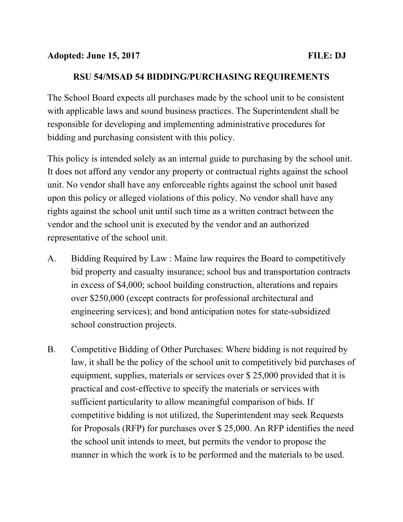#### RSU 54/MSAD 54 BIDDING/PURCHASING REQUIREMENTS

The School Board expects all purchases made by the school unit to be consistent with applicable laws and sound business practices. The Superintendent shall be responsible for developing and implementing administrative procedures for bidding and purchasing consistent with this policy.

This policy is intended solely as an internal guide to purchasing by the school unit. It does not afford any vendor any property or contractual rights against the school unit. No vendor shall have any enforceable rights against the school unit based upon this policy or alleged violations of this policy. No vendor shall have any rights against the school unit until such time as a written contract between the vendor and the school unit is executed by the vendor and an authorized representative of the school unit.

- A. Bidding Required by Law : Maine law requires the Board to competitively bid property and casualty insurance; school bus and transportation contracts in excess of \$4,000; school building construction, alterations and repairs over \$250,000 (except contracts for professional architectural and engineering services); and bond anticipation notes for state-subsidized school construction projects.
- B. Competitive Bidding of Other Purchases: Where bidding is not required by law, it shall be the policy of the school unit to competitively bid purchases of equipment, supplies, materials or services over \$ 25,000 provided that it is practical and cost-effective to specify the materials or services with sufficient particularity to allow meaningful comparison of bids. If competitive bidding is not utilized, the Superintendent may seek Requests for Proposals (RFP) for purchases over \$ 25,000. An RFP identifies the need the school unit intends to meet, but permits the vendor to propose the manner in which the work is to be performed and the materials to be used.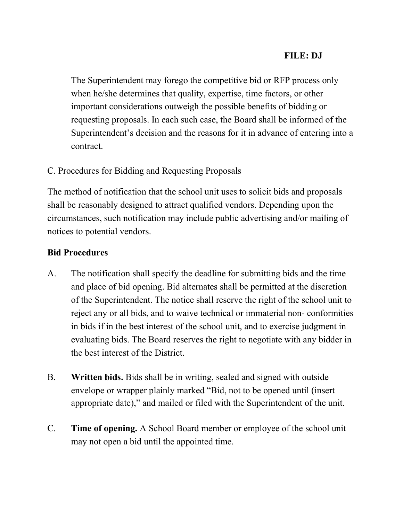# FILE: DJ

The Superintendent may forego the competitive bid or RFP process only when he/she determines that quality, expertise, time factors, or other important considerations outweigh the possible benefits of bidding or requesting proposals. In each such case, the Board shall be informed of the Superintendent's decision and the reasons for it in advance of entering into a contract.

## C. Procedures for Bidding and Requesting Proposals

The method of notification that the school unit uses to solicit bids and proposals shall be reasonably designed to attract qualified vendors. Depending upon the circumstances, such notification may include public advertising and/or mailing of notices to potential vendors.

#### Bid Procedures

- A. The notification shall specify the deadline for submitting bids and the time and place of bid opening. Bid alternates shall be permitted at the discretion of the Superintendent. The notice shall reserve the right of the school unit to reject any or all bids, and to waive technical or immaterial non- conformities in bids if in the best interest of the school unit, and to exercise judgment in evaluating bids. The Board reserves the right to negotiate with any bidder in the best interest of the District.
- B. Written bids. Bids shall be in writing, sealed and signed with outside envelope or wrapper plainly marked "Bid, not to be opened until (insert appropriate date)," and mailed or filed with the Superintendent of the unit.
- C. Time of opening. A School Board member or employee of the school unit may not open a bid until the appointed time.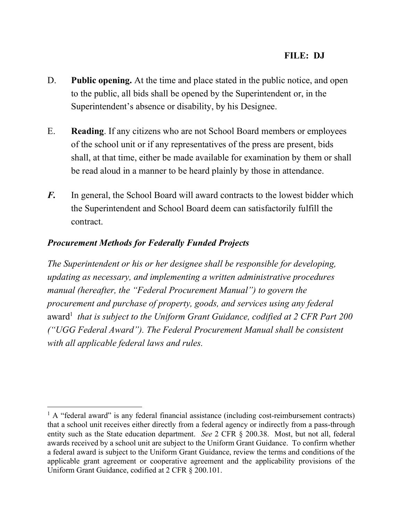- D. **Public opening.** At the time and place stated in the public notice, and open to the public, all bids shall be opened by the Superintendent or, in the Superintendent's absence or disability, by his Designee.
- E. Reading. If any citizens who are not School Board members or employees of the school unit or if any representatives of the press are present, bids shall, at that time, either be made available for examination by them or shall be read aloud in a manner to be heard plainly by those in attendance.
- F. In general, the School Board will award contracts to the lowest bidder which the Superintendent and School Board deem can satisfactorily fulfill the contract.

# Procurement Methods for Federally Funded Projects

The Superintendent or his or her designee shall be responsible for developing, updating as necessary, and implementing a written administrative procedures manual (hereafter, the "Federal Procurement Manual") to govern the procurement and purchase of property, goods, and services using any federal award<sup>1</sup> that is subject to the Uniform Grant Guidance, codified at 2 CFR Part 200 ("UGG Federal Award"). The Federal Procurement Manual shall be consistent with all applicable federal laws and rules.

<sup>&</sup>lt;sup>1</sup> A "federal award" is any federal financial assistance (including cost-reimbursement contracts) that a school unit receives either directly from a federal agency or indirectly from a pass-through entity such as the State education department. See 2 CFR § 200.38. Most, but not all, federal awards received by a school unit are subject to the Uniform Grant Guidance. To confirm whether a federal award is subject to the Uniform Grant Guidance, review the terms and conditions of the applicable grant agreement or cooperative agreement and the applicability provisions of the Uniform Grant Guidance, codified at 2 CFR § 200.101.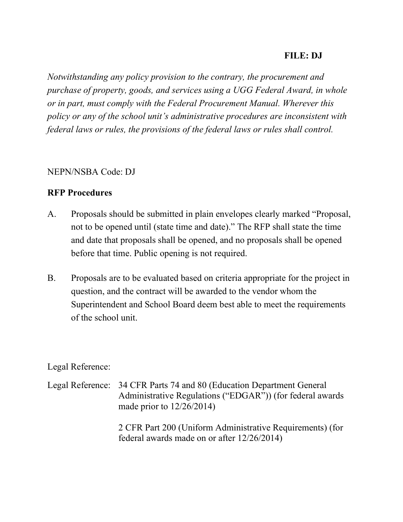# FILE: DJ

Notwithstanding any policy provision to the contrary, the procurement and purchase of property, goods, and services using a UGG Federal Award, in whole or in part, must comply with the Federal Procurement Manual. Wherever this policy or any of the school unit's administrative procedures are inconsistent with federal laws or rules, the provisions of the federal laws or rules shall control.

### NEPN/NSBA Code: DJ

### RFP Procedures

- A. Proposals should be submitted in plain envelopes clearly marked "Proposal, not to be opened until (state time and date)." The RFP shall state the time and date that proposals shall be opened, and no proposals shall be opened before that time. Public opening is not required.
- B. Proposals are to be evaluated based on criteria appropriate for the project in question, and the contract will be awarded to the vendor whom the Superintendent and School Board deem best able to meet the requirements of the school unit.

## Legal Reference:

Legal Reference: 34 CFR Parts 74 and 80 (Education Department General Administrative Regulations ("EDGAR")) (for federal awards made prior to 12/26/2014)

> 2 CFR Part 200 (Uniform Administrative Requirements) (for federal awards made on or after 12/26/2014)